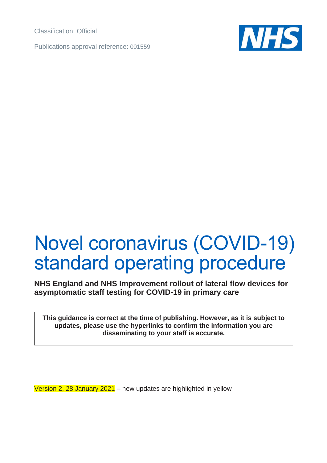Classification: Official

Publications approval reference: 001559



# Novel coronavirus (COVID-19) standard operating procedure

**NHS England and NHS Improvement rollout of lateral flow devices for asymptomatic staff testing for COVID-19 in primary care**

**This guidance is correct at the time of publishing. However, as it is subject to updates, please use the hyperlinks to confirm the information you are disseminating to your staff is accurate.**

Version 2, 28 January 2021 – new updates are highlighted in yellow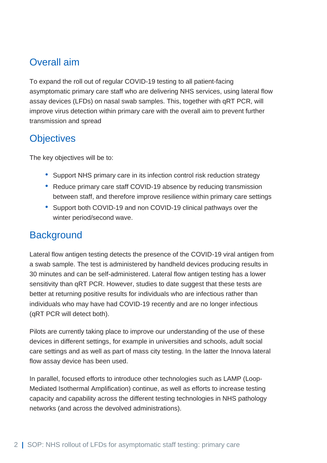# Overall aim

To expand the roll out of regular COVID-19 testing to all patient-facing asymptomatic primary care staff who are delivering NHS services, using lateral flow assay devices (LFDs) on nasal swab samples. This, together with qRT PCR, will improve virus detection within primary care with the overall aim to prevent further transmission and spread

# **Objectives**

The key objectives will be to:

- Support NHS primary care in its infection control risk reduction strategy
- Reduce primary care staff COVID-19 absence by reducing transmission between staff, and therefore improve resilience within primary care settings
- Support both COVID-19 and non COVID-19 clinical pathways over the winter period/second wave.

# **Background**

Lateral flow antigen testing detects the presence of the COVID-19 viral antigen from a swab sample. The test is administered by handheld devices producing results in 30 minutes and can be self-administered. Lateral flow antigen testing has a lower sensitivity than qRT PCR. However, studies to date suggest that these tests are better at returning positive results for individuals who are infectious rather than individuals who may have had COVID-19 recently and are no longer infectious (qRT PCR will detect both).

Pilots are currently taking place to improve our understanding of the use of these devices in different settings, for example in universities and schools, adult social care settings and as well as part of mass city testing. In the latter the Innova lateral flow assay device has been used.

In parallel, focused efforts to introduce other technologies such as LAMP (Loop-Mediated Isothermal Amplification) continue, as well as efforts to increase testing capacity and capability across the different testing technologies in NHS pathology networks (and across the devolved administrations).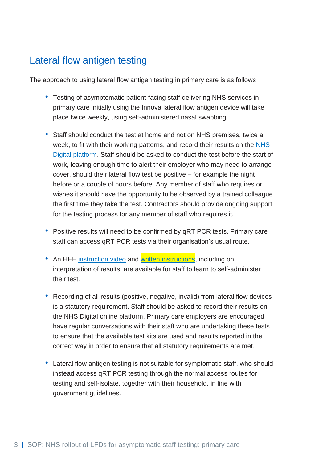## Lateral flow antigen testing

The approach to using lateral flow antigen testing in primary care is as follows

- Testing of asymptomatic patient-facing staff delivering NHS services in primary care initially using the Innova lateral flow antigen device will take place twice weekly, using self-administered nasal swabbing.
- Staff should conduct the test at home and not on NHS premises, twice a week, to fit with their working patterns, and record their results on the NHS [Digital platform.](http://www.gov.uk/report-covid19-result) Staff should be asked to conduct the test before the start of work, leaving enough time to alert their employer who may need to arrange cover, should their lateral flow test be positive – for example the night before or a couple of hours before. Any member of staff who requires or wishes it should have the opportunity to be observed by a trained colleague the first time they take the test. Contractors should provide ongoing support for the testing process for any member of staff who requires it.
- Positive results will need to be confirmed by qRT PCR tests. Primary care staff can access qRT PCR tests via their organisation's usual route.
- An HEE [instruction video](https://learninghub.nhs.uk/self-swab) and [written instructions,](https://www.england.nhs.uk/coronavirus/wp-content/uploads/sites/52/2020/12/NHS-Test-and-Trace_HEE_PC-staff-testing-LFD.pdf) including on interpretation of results, are available for staff to learn to self-administer their test.
- Recording of all results (positive, negative, invalid) from lateral flow devices is a statutory requirement. Staff should be asked to record their results on the NHS Digital online platform. Primary care employers are encouraged have regular conversations with their staff who are undertaking these tests to ensure that the available test kits are used and results reported in the correct way in order to ensure that all statutory requirements are met.
- Lateral flow antigen testing is not suitable for symptomatic staff, who should instead access qRT PCR testing through the normal access routes for testing and self-isolate, together with their household, in line with government guidelines.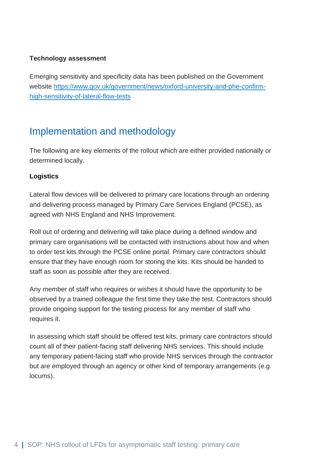#### **Technology assessment**

Emerging sensitivity and specificity data has been published on the Government website [https://www.gov.uk/government/news/oxford-university-and-phe-confirm](https://www.gov.uk/government/news/oxford-university-and-phe-confirm-high-sensitivity-of-lateral-flow-tests)[high-sensitivity-of-lateral-flow-tests](https://www.gov.uk/government/news/oxford-university-and-phe-confirm-high-sensitivity-of-lateral-flow-tests)

## Implementation and methodology

The following are key elements of the rollout which are either provided nationally or determined locally.

#### **Logistics**

Lateral flow devices will be delivered to primary care locations through an ordering and delivering process managed by Primary Care Services England (PCSE), as agreed with NHS England and NHS Improvement.

Roll out of ordering and delivering will take place during a defined window and primary care organisations will be contacted with instructions about how and when to order test kits through the PCSE online portal. Primary care contractors should ensure that they have enough room for storing the kits. Kits should be handed to staff as soon as possible after they are received.

Any member of staff who requires or wishes it should have the opportunity to be observed by a trained colleague the first time they take the test. Contractors should provide ongoing support for the testing process for any member of staff who requires it.

In assessing which staff should be offered test kits, primary care contractors should count all of their patient-facing staff delivering NHS services. This should include any temporary patient-facing staff who provide NHS services through the contractor but are employed through an agency or other kind of temporary arrangements (e.g. locums).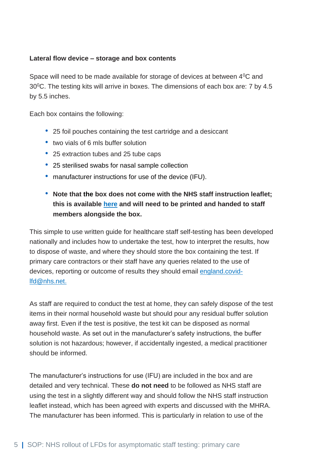#### **Lateral flow device – storage and box contents**

Space will need to be made available for storage of devices at between 4<sup>0</sup>C and  $30^{\circ}$ C. The testing kits will arrive in boxes. The dimensions of each box are: 7 by 4.5 by 5.5 inches.

Each box contains the following:

- 25 foil pouches containing the test cartridge and a desiccant
- two vials of 6 mls buffer solution
- 25 extraction tubes and 25 tube caps
- 25 sterilised swabs for nasal sample collection
- manufacturer instructions for use of the device (IFU).
- **Note that the box does not come with the NHS staff instruction leaflet; this is available [here](https://www.england.nhs.uk/coronavirus/wp-content/uploads/sites/52/2020/11/LFD_NHSStaff_A4_161120_.pdf) and will need to be printed and handed to staff members alongside the box.**

This simple to use written guide for healthcare staff self-testing has been developed nationally and includes how to undertake the test, how to interpret the results, how to dispose of waste, and where they should store the box containing the test. If primary care contractors or their staff have any queries related to the use of devices, reporting or outcome of results they should email [england.covid](mailto:england.covid-lfd@nhs.net)[lfd@nhs.net.](mailto:england.covid-lfd@nhs.net)

As staff are required to conduct the test at home, they can safely dispose of the test items in their normal household waste but should pour any residual buffer solution away first. Even if the test is positive, the test kit can be disposed as normal household waste. As set out in the manufacturer's safety instructions, the buffer solution is not hazardous; however, if accidentally ingested, a medical practitioner should be informed.

The manufacturer's instructions for use (IFU) are included in the box and are detailed and very technical. These **do not need** to be followed as NHS staff are using the test in a slightly different way and should follow the NHS staff instruction leaflet instead, which has been agreed with experts and discussed with the MHRA. The manufacturer has been informed. This is particularly in relation to use of the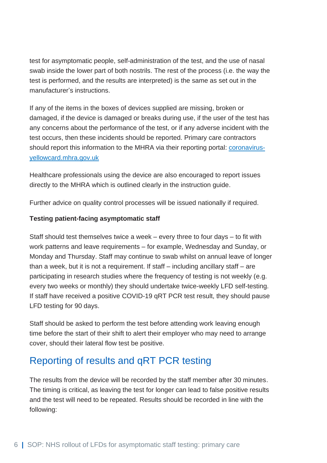test for asymptomatic people, self-administration of the test, and the use of nasal swab inside the lower part of both nostrils. The rest of the process (i.e. the way the test is performed, and the results are interpreted) is the same as set out in the manufacturer's instructions.

If any of the items in the boxes of devices supplied are missing, broken or damaged, if the device is damaged or breaks during use, if the user of the test has any concerns about the performance of the test, or if any adverse incident with the test occurs, then these incidents should be reported. Primary care contractors should report this information to the MHRA via their reporting portal: [coronavirus](https://coronavirus-yellowcard.mhra.gov.uk/)[yellowcard.mhra.gov.uk](https://coronavirus-yellowcard.mhra.gov.uk/)

Healthcare professionals using the device are also encouraged to report issues directly to the MHRA which is outlined clearly in the instruction guide.

Further advice on quality control processes will be issued nationally if required.

### **Testing patient-facing asymptomatic staff**

Staff should test themselves twice a week – every three to four days – to fit with work patterns and leave requirements – for example, Wednesday and Sunday, or Monday and Thursday. Staff may continue to swab whilst on annual leave of longer than a week, but it is not a requirement. If staff – including ancillary staff – are participating in research studies where the frequency of testing is not weekly (e.g. every two weeks or monthly) they should undertake twice-weekly LFD self-testing. If staff have received a positive COVID-19 qRT PCR test result, they should pause LFD testing for 90 days.

Staff should be asked to perform the test before attending work leaving enough time before the start of their shift to alert their employer who may need to arrange cover, should their lateral flow test be positive.

# Reporting of results and qRT PCR testing

The results from the device will be recorded by the staff member after 30 minutes. The timing is critical, as leaving the test for longer can lead to false positive results and the test will need to be repeated. Results should be recorded in line with the following: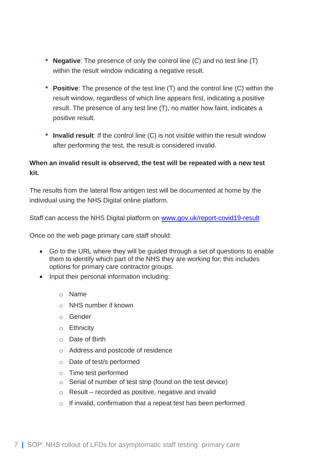- **Negative**: The presence of only the control line (C) and no test line (T) within the result window indicating a negative result.
- **Positive**: The presence of the test line (T) and the control line (C) within the result window, regardless of which line appears first, indicating a positive result. The presence of any test line (T), no matter how faint, indicates a positive result.
- **Invalid result**: If the control line (C) is not visible within the result window after performing the test, the result is considered invalid.

### **When an invalid result is observed, the test will be repeated with a new test kit.**

The results from the lateral flow antigen test will be documented at home by the individual using the NHS Digital online platform.

Staff can access the NHS Digital platform on [www.gov.uk/report-covid19-result](http://www.gov.uk/report-covid19-result)

Once on the web page primary care staff should:

- Go to the URL where they will be guided through a set of questions to enable them to identify which part of the NHS they are working for; this includes options for primary care contractor groups.
- Input their personal information including:
	- o Name
	- o NHS number if known
	- o Gender
	- o Ethnicity
	- o Date of Birth
	- o Address and postcode of residence
	- o Date of test/s performed
	- o Time test performed
	- o Serial of number of test strip (found on the test device)
	- $\circ$  Result recorded as positive, negative and invalid
	- o If invalid, confirmation that a repeat test has been performed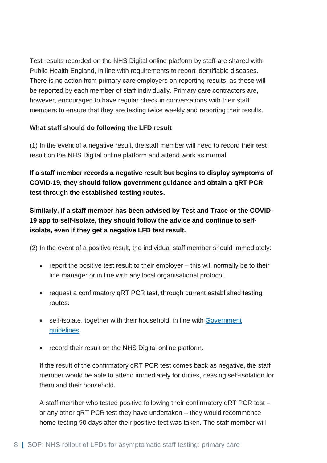Test results recorded on the NHS Digital online platform by staff are shared with Public Health England, in line with requirements to report identifiable diseases. There is no action from primary care employers on reporting results, as these will be reported by each member of staff individually. Primary care contractors are, however, encouraged to have regular check in conversations with their staff members to ensure that they are testing twice weekly and reporting their results.

### **What staff should do following the LFD result**

(1) In the event of a negative result, the staff member will need to record their test result on the NHS Digital online platform and attend work as normal.

**If a staff member records a negative result but begins to display symptoms of COVID-19, they should follow government guidance and obtain a qRT PCR test through the established testing routes.** 

**Similarly, if a staff member has been advised by Test and Trace or the COVID-19 app to self-isolate, they should follow the advice and continue to selfisolate, even if they get a negative LFD test result.**

(2) In the event of a positive result, the individual staff member should immediately:

- report the positive test result to their employer this will normally be to their line manager or in line with any local organisational protocol.
- request a confirmatory qRT PCR test, through current established testing routes.
- self-isolate, together with their household, in line with Government [guidelines.](https://www.gov.uk/government/publications/covid-19-stay-at-home-guidance/stay-at-home-guidance-for-households-with-possible-coronavirus-covid-19-infection)
- record their result on the NHS Digital online platform.

If the result of the confirmatory qRT PCR test comes back as negative, the staff member would be able to attend immediately for duties, ceasing self-isolation for them and their household.

A staff member who tested positive following their confirmatory qRT PCR test – or any other qRT PCR test they have undertaken – they would recommence home testing 90 days after their positive test was taken. The staff member will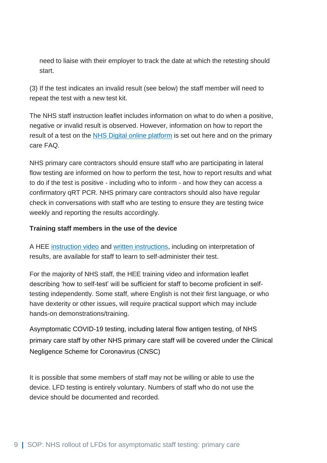need to liaise with their employer to track the date at which the retesting should start.

(3) If the test indicates an invalid result (see below) the staff member will need to repeat the test with a new test kit.

The NHS staff instruction leaflet includes information on what to do when a positive, negative or invalid result is observed. However, information on how to report the result of a test on the [NHS Digital online platform](http://www.gov.uk/report-covid19-result) is set out here and on the primary care FAQ.

NHS primary care contractors should ensure staff who are participating in lateral flow testing are informed on how to perform the test, how to report results and what to do if the test is positive - including who to inform - and how they can access a confirmatory qRT PCR. NHS primary care contractors should also have regular check in conversations with staff who are testing to ensure they are testing twice weekly and reporting the results accordingly.

#### **Training staff members in the use of the device**

A HEE [instruction video](https://learninghub.nhs.uk/self-swab) and [written instructions,](https://www.england.nhs.uk/coronavirus/wp-content/uploads/sites/52/2020/11/LFD_NHSStaff_A4_161120_.pdf) including on interpretation of results, are available for staff to learn to self-administer their test.

For the majority of NHS staff, the HEE training video and information leaflet describing 'how to self-test' will be sufficient for staff to become proficient in selftesting independently. Some staff, where English is not their first language, or who have dexterity or other issues, will require practical support which may include hands-on demonstrations/training.

Asymptomatic COVID-19 testing, including lateral flow antigen testing, of NHS primary care staff by other NHS primary care staff will be covered under the Clinical Negligence Scheme for Coronavirus (CNSC)

It is possible that some members of staff may not be willing or able to use the device. LFD testing is entirely voluntary. Numbers of staff who do not use the device should be documented and recorded.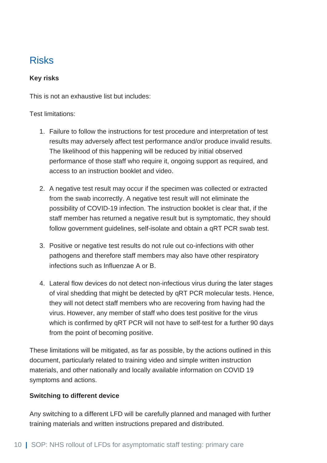# Risks

#### **Key risks**

This is not an exhaustive list but includes:

### Test limitations:

- 1. Failure to follow the instructions for test procedure and interpretation of test results may adversely affect test performance and/or produce invalid results. The likelihood of this happening will be reduced by initial observed performance of those staff who require it, ongoing support as required, and access to an instruction booklet and video.
- 2. A negative test result may occur if the specimen was collected or extracted from the swab incorrectly. A negative test result will not eliminate the possibility of COVID-19 infection. The instruction booklet is clear that, if the staff member has returned a negative result but is symptomatic, they should follow government guidelines, self-isolate and obtain a qRT PCR swab test.
- 3. Positive or negative test results do not rule out co-infections with other pathogens and therefore staff members may also have other respiratory infections such as Influenzae A or B.
- 4. Lateral flow devices do not detect non-infectious virus during the later stages of viral shedding that might be detected by qRT PCR molecular tests. Hence, they will not detect staff members who are recovering from having had the virus. However, any member of staff who does test positive for the virus which is confirmed by qRT PCR will not have to self-test for a further 90 days from the point of becoming positive.

These limitations will be mitigated, as far as possible, by the actions outlined in this document, particularly related to training video and simple written instruction materials, and other nationally and locally available information on COVID 19 symptoms and actions.

### **Switching to different device**

Any switching to a different LFD will be carefully planned and managed with further training materials and written instructions prepared and distributed.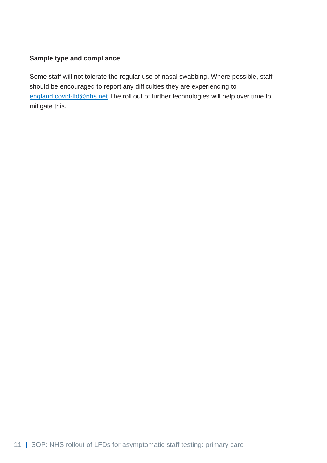#### **Sample type and compliance**

Some staff will not tolerate the regular use of nasal swabbing. Where possible, staff should be encouraged to report any difficulties they are experiencing to [england.covid-lfd@nhs.net](mailto:england.covid-lfd@nhs.net) The roll out of further technologies will help over time to mitigate this.